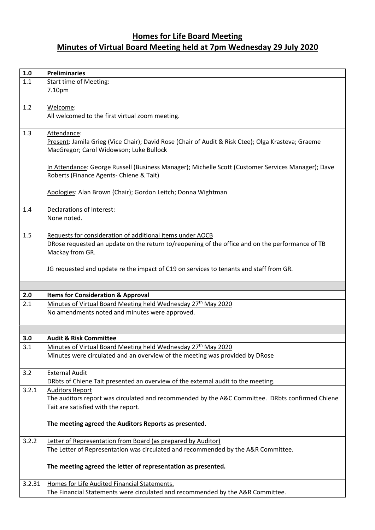## **Homes for Life Board Meeting Minutes of Virtual Board Meeting held at 7pm Wednesday 29 July 2020**

| 1.0    | <b>Preliminaries</b>                                                                                                                                      |
|--------|-----------------------------------------------------------------------------------------------------------------------------------------------------------|
| 1.1    | <b>Start time of Meeting:</b>                                                                                                                             |
|        | 7.10pm                                                                                                                                                    |
|        |                                                                                                                                                           |
| 1.2    | Welcome:                                                                                                                                                  |
|        | All welcomed to the first virtual zoom meeting.                                                                                                           |
|        |                                                                                                                                                           |
| 1.3    | Attendance:                                                                                                                                               |
|        | Present: Jamila Grieg (Vice Chair); David Rose (Chair of Audit & Risk Ctee); Olga Krasteva; Graeme                                                        |
|        | MacGregor; Carol Widowson; Luke Bullock                                                                                                                   |
|        |                                                                                                                                                           |
|        | In Attendance: George Russell (Business Manager); Michelle Scott (Customer Services Manager); Dave                                                        |
|        | Roberts (Finance Agents- Chiene & Tait)                                                                                                                   |
|        |                                                                                                                                                           |
|        | Apologies: Alan Brown (Chair); Gordon Leitch; Donna Wightman                                                                                              |
| 1.4    | Declarations of Interest:                                                                                                                                 |
|        | None noted.                                                                                                                                               |
|        |                                                                                                                                                           |
| 1.5    | Requests for consideration of additional items under AOCB                                                                                                 |
|        | DRose requested an update on the return to/reopening of the office and on the performance of TB                                                           |
|        | Mackay from GR.                                                                                                                                           |
|        |                                                                                                                                                           |
|        | JG requested and update re the impact of C19 on services to tenants and staff from GR.                                                                    |
|        |                                                                                                                                                           |
|        |                                                                                                                                                           |
| 2.0    | <b>Items for Consideration &amp; Approval</b>                                                                                                             |
| 2.1    | Minutes of Virtual Board Meeting held Wednesday 27 <sup>th</sup> May 2020                                                                                 |
|        | No amendments noted and minutes were approved.                                                                                                            |
|        |                                                                                                                                                           |
|        |                                                                                                                                                           |
| 3.0    | <b>Audit &amp; Risk Committee</b>                                                                                                                         |
| 3.1    | Minutes of Virtual Board Meeting held Wednesday 27 <sup>th</sup> May 2020<br>Minutes were circulated and an overview of the meeting was provided by DRose |
|        |                                                                                                                                                           |
| 3.2    | <b>External Audit</b>                                                                                                                                     |
|        | DRbts of Chiene Tait presented an overview of the external audit to the meeting.                                                                          |
| 3.2.1  | <b>Auditors Report</b>                                                                                                                                    |
|        | The auditors report was circulated and recommended by the A&C Committee. DRbts confirmed Chiene                                                           |
|        | Tait are satisfied with the report.                                                                                                                       |
|        |                                                                                                                                                           |
|        | The meeting agreed the Auditors Reports as presented.                                                                                                     |
|        |                                                                                                                                                           |
| 3.2.2  | Letter of Representation from Board (as prepared by Auditor)                                                                                              |
|        | The Letter of Representation was circulated and recommended by the A&R Committee.                                                                         |
|        |                                                                                                                                                           |
|        | The meeting agreed the letter of representation as presented.                                                                                             |
|        |                                                                                                                                                           |
| 3.2.31 | Homes for Life Audited Financial Statements.                                                                                                              |
|        | The Financial Statements were circulated and recommended by the A&R Committee.                                                                            |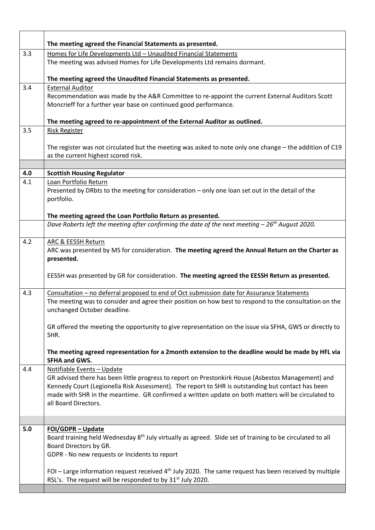|     | The meeting agreed the Financial Statements as presented.                                                                                                                                                                                                                                                                                                           |
|-----|---------------------------------------------------------------------------------------------------------------------------------------------------------------------------------------------------------------------------------------------------------------------------------------------------------------------------------------------------------------------|
| 3.3 | Homes for Life Developments Ltd - Unaudited Financial Statements                                                                                                                                                                                                                                                                                                    |
|     | The meeting was advised Homes for Life Developments Ltd remains dormant.                                                                                                                                                                                                                                                                                            |
|     | The meeting agreed the Unaudited Financial Statements as presented.                                                                                                                                                                                                                                                                                                 |
| 3.4 | <b>External Auditor</b>                                                                                                                                                                                                                                                                                                                                             |
|     | Recommendation was made by the A&R Committee to re-appoint the current External Auditors Scott<br>Moncrieff for a further year base on continued good performance.                                                                                                                                                                                                  |
|     | The meeting agreed to re-appointment of the External Auditor as outlined.                                                                                                                                                                                                                                                                                           |
| 3.5 | <b>Risk Register</b>                                                                                                                                                                                                                                                                                                                                                |
|     | The register was not circulated but the meeting was asked to note only one change - the addition of C19<br>as the current highest scored risk.                                                                                                                                                                                                                      |
|     |                                                                                                                                                                                                                                                                                                                                                                     |
| 4.0 | <b>Scottish Housing Regulator</b>                                                                                                                                                                                                                                                                                                                                   |
| 4.1 | Loan Portfolio Return<br>Presented by DRbts to the meeting for consideration - only one loan set out in the detail of the<br>portfolio.                                                                                                                                                                                                                             |
|     | The meeting agreed the Loan Portfolio Return as presented.                                                                                                                                                                                                                                                                                                          |
|     | Dave Roberts left the meeting after confirming the date of the next meeting $-26$ <sup>th</sup> August 2020.                                                                                                                                                                                                                                                        |
| 4.2 | ARC & EESSH Return<br>ARC was presented by MS for consideration. The meeting agreed the Annual Return on the Charter as<br>presented.                                                                                                                                                                                                                               |
|     | EESSH was presented by GR for consideration. The meeting agreed the EESSH Return as presented.                                                                                                                                                                                                                                                                      |
| 4.3 | Consultation - no deferral proposed to end of Oct submission date for Assurance Statements<br>The meeting was to consider and agree their position on how best to respond to the consultation on the<br>unchanged October deadline.                                                                                                                                 |
|     | GR offered the meeting the opportunity to give representation on the issue via SFHA, GWS or directly to<br>SHR.                                                                                                                                                                                                                                                     |
|     | The meeting agreed representation for a 2month extension to the deadline would be made by HFL via<br><b>SFHA and GWS.</b>                                                                                                                                                                                                                                           |
| 4.4 | Notifiable Events - Update<br>GR advised there has been little progress to report on Prestonkirk House (Asbestos Management) and<br>Kennedy Court (Legionella Risk Assessment). The report to SHR is outstanding but contact has been<br>made with SHR in the meantime. GR confirmed a written update on both matters will be circulated to<br>all Board Directors. |
|     |                                                                                                                                                                                                                                                                                                                                                                     |
| 5.0 | FOI/GDPR - Update<br>Board training held Wednesday $8th$ July virtually as agreed. Slide set of training to be circulated to all<br>Board Directors by GR.<br>GDPR - No new requests or Incidents to report                                                                                                                                                         |
|     | FOI – Large information request received $4th$ July 2020. The same request has been received by multiple<br>RSL's. The request will be responded to by 31 <sup>st</sup> July 2020.                                                                                                                                                                                  |
|     |                                                                                                                                                                                                                                                                                                                                                                     |